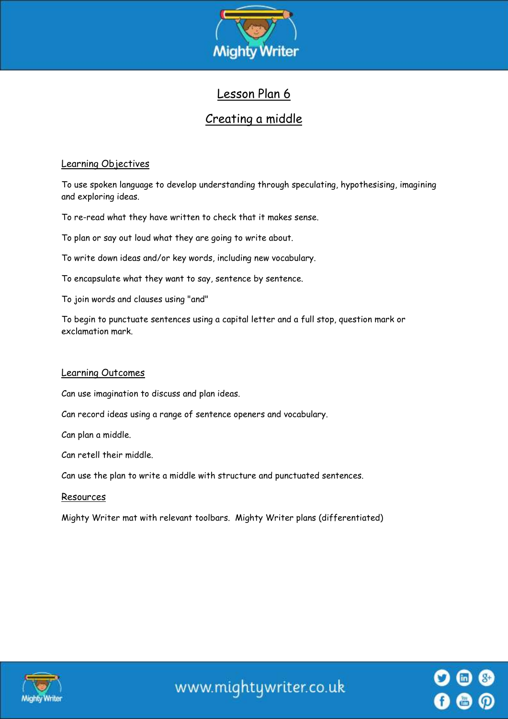

# Lesson Plan 6

## Creating a middle

## Learning Objectives

To use spoken language to develop understanding through speculating, hypothesising, imagining and exploring ideas.

To re-read what they have written to check that it makes sense.

To plan or say out loud what they are going to write about.

To write down ideas and/or key words, including new vocabulary.

To encapsulate what they want to say, sentence by sentence.

To join words and clauses using "and"

To begin to punctuate sentences using a capital letter and a full stop, question mark or exclamation mark.

## Learning Outcomes

Can use imagination to discuss and plan ideas.

Can record ideas using a range of sentence openers and vocabulary.

Can plan a middle.

Can retell their middle.

Can use the plan to write a middle with structure and punctuated sentences.

Resources

Mighty Writer mat with relevant toolbars. Mighty Writer plans (differentiated)



www.mightywriter.co.uk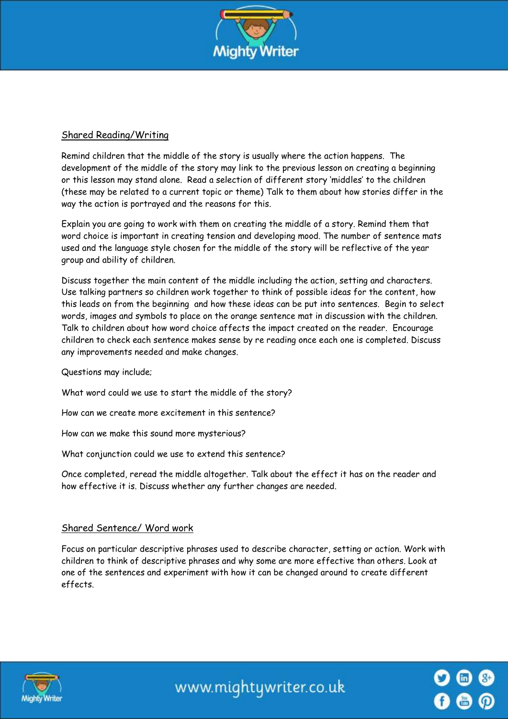

### Shared Reading/Writing

Remind children that the middle of the story is usually where the action happens. The development of the middle of the story may link to the previous lesson on creating a beginning or this lesson may stand alone. Read a selection of different story 'middles' to the children (these may be related to a current topic or theme) Talk to them about how stories differ in the way the action is portrayed and the reasons for this.

Explain you are going to work with them on creating the middle of a story. Remind them that word choice is important in creating tension and developing mood. The number of sentence mats used and the language style chosen for the middle of the story will be reflective of the year group and ability of children.

Discuss together the main content of the middle including the action, setting and characters. Use talking partners so children work together to think of possible ideas for the content, how this leads on from the beginning and how these ideas can be put into sentences. Begin to select words, images and symbols to place on the orange sentence mat in discussion with the children. Talk to children about how word choice affects the impact created on the reader. Encourage children to check each sentence makes sense by re reading once each one is completed. Discuss any improvements needed and make changes.

Questions may include;

What word could we use to start the middle of the story?

How can we create more excitement in this sentence?

How can we make this sound more mysterious?

What conjunction could we use to extend this sentence?

Once completed, reread the middle altogether. Talk about the effect it has on the reader and how effective it is. Discuss whether any further changes are needed.

#### Shared Sentence/ Word work

Focus on particular descriptive phrases used to describe character, setting or action. Work with children to think of descriptive phrases and why some are more effective than others. Look at one of the sentences and experiment with how it can be changed around to create different effects.



www.mightywriter.co.uk